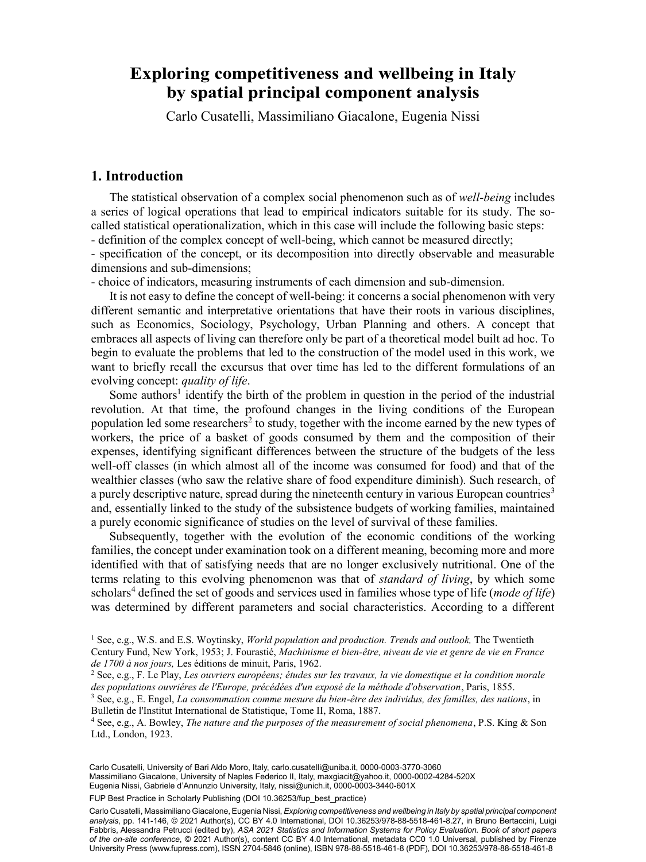# hy spotial principal component analysis by spatial principal component analysis **Exploring competitiveness and wellbeing in Italy**

Carlo Cusatelli, Massimiliano Giacalone, Eugenia Nissi

# **1. Introduction**

The statistical observation of a complex social phenomenon such as of *well-being* includes a series of logical operations that lead to empirical indicators suitable for its study. The socalled statistical operationalization, which in this case will include the following basic steps: - definition of the complex concept of well-being, which cannot be measured directly;

- specification of the concept, or its decomposition into directly observable and measurable dimensions and sub-dimensions;

- choice of indicators, measuring instruments of each dimension and sub-dimension.

It is not easy to define the concept of well-being: it concerns a social phenomenon with very different semantic and interpretative orientations that have their roots in various disciplines, such as Economics, Sociology, Psychology, Urban Planning and others. A concept that embraces all aspects of living can therefore only be part of a theoretical model built ad hoc. To begin to evaluate the problems that led to the construction of the model used in this work, we want to briefly recall the excursus that over time has led to the different formulations of an evolving concept: *quality of life*.

Some authors<sup>1</sup> identify the birth of the problem in question in the period of the industrial revolution. At that time, the profound changes in the living conditions of the European population led some researchers<sup>2</sup> to study, together with the income earned by the new types of workers, the price of a basket of goods consumed by them and the composition of their expenses, identifying significant differences between the structure of the budgets of the less well-off classes (in which almost all of the income was consumed for food) and that of the wealthier classes (who saw the relative share of food expenditure diminish). Such research, of a purely descriptive nature, spread during the nineteenth century in various European countries<sup>3</sup> and, essentially linked to the study of the subsistence budgets of working families, maintained a purely economic significance of studies on the level of survival of these families.

Subsequently, together with the evolution of the economic conditions of the working families, the concept under examination took on a different meaning, becoming more and more identified with that of satisfying needs that are no longer exclusively nutritional. One of the terms relating to this evolving phenomenon was that of *standard of living*, by which some scholars<sup>4</sup> defined the set of goods and services used in families whose type of life (*mode of life*) was determined by different parameters and social characteristics. According to a different

129 Massimiliano Giacalone, University of Naples Federico II, Italy, [maxgiacit@yahoo.it,](mailto:maxgiacit@yahoo.it) [0000-0002-4284-520X](https://orcid.org/0000-0002-4284-520X) Carlo Cusatelli, University of Bari Aldo Moro, Italy, [carlo.cusatelli@uniba.it](mailto:carlo.cusatelli@uniba.it), [0000-0003-3770-3060](https://orcid.org/0000-0003-3770-3060) Eugenia Nissi, Gabriele d'Annunzio University, Italy, [nissi@unich.it,](mailto:nissi@unich.it) [0000-0003-3440-601X](https://orcid.org/0000-0003-3440-601X)

FUP Best Practice in Scholarly Publishing (DOI 10.36253/fup best practice)

Carlo Cusatelli, Massimiliano Giacalone, Eugenia Nissi, *Exploring competitiveness and wellbeing in Italy by spatial principal component analysis*, pp. 141-146, © 2021 Author(s), [CC BY 4.0 International](http://creativecommons.org/licenses/by/4.0/legalcode), DOI [10.36253/978-88-5518-461-8.27,](https://doi.org/10.36253/978-88-5518-461-8.27) in Bruno Bertaccini, Luigi Fabbris, Alessandra Petrucci (edited by), *ASA 2021 Statistics and Information Systems for Policy Evaluation. Book of short papers of the on-site conference*, © 2021 Author(s), content [CC BY 4.0 International,](http://creativecommons.org/licenses/by/4.0/legalcode) metadata [CC0 1.0 Universal](https://creativecommons.org/publicdomain/zero/1.0/legalcode), published by Firenze University Press [\(www.fupress.com\)](http://www.fupress.com), ISSN 2704-5846 (online), ISBN 978-88-5518-461-8 (PDF), DOI [10.36253/978-88-5518-461-8](https://doi.org/10.36253/978-88-5518-461-8)

<sup>1</sup> See, e.g., W.S. and E.S. Woytinsky, *World population and production. Trends and outlook,* The Twentieth Century Fund, New York, 1953; J. Fourastié, *Machinisme et bien-être, niveau de vie et genre de vie en France* 

*de 1700 à nos jours,* Les éditions de minuit, Paris, 1962. 2 See, e.g., F. Le Play, *Les ouvriers européens; études sur les travaux, la vie domestique et la condition morale des populations ouvriéres de l'Europe, précédées d'un exposé de la méthode d'observation*, Paris, 1855.

<sup>3</sup> See, e.g., E. Engel, *La consommation comme mesure du bien-être des individus, des familles, des nations*, in Bulletin de l'Institut International de Statistique, Tome II, Roma, 1887.

<sup>4</sup> See, e.g., A. Bowley, *The nature and the purposes of the measurement of social phenomena*, P.S. King & Son Ltd., London, 1923.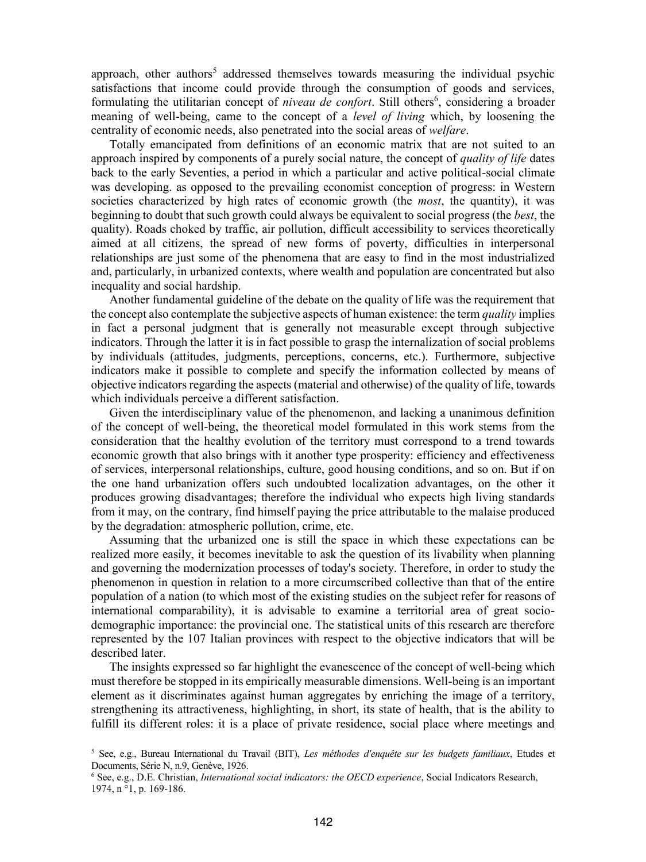approach, other authors<sup>5</sup> addressed themselves towards measuring the individual psychic satisfactions that income could provide through the consumption of goods and services, formulating the utilitarian concept of *niveau de confort*. Still others<sup>6</sup>, considering a broader meaning of well-being, came to the concept of a *level of living* which, by loosening the centrality of economic needs, also penetrated into the social areas of *welfare*.

Totally emancipated from definitions of an economic matrix that are not suited to an approach inspired by components of a purely social nature, the concept of *quality of life* dates back to the early Seventies, a period in which a particular and active political-social climate was developing. as opposed to the prevailing economist conception of progress: in Western societies characterized by high rates of economic growth (the *most*, the quantity), it was beginning to doubt that such growth could always be equivalent to social progress (the *best*, the quality). Roads choked by traffic, air pollution, difficult accessibility to services theoretically aimed at all citizens, the spread of new forms of poverty, difficulties in interpersonal relationships are just some of the phenomena that are easy to find in the most industrialized and, particularly, in urbanized contexts, where wealth and population are concentrated but also inequality and social hardship.

Another fundamental guideline of the debate on the quality of life was the requirement that the concept also contemplate the subjective aspects of human existence: the term *quality* implies in fact a personal judgment that is generally not measurable except through subjective indicators. Through the latter it is in fact possible to grasp the internalization of social problems by individuals (attitudes, judgments, perceptions, concerns, etc.). Furthermore, subjective indicators make it possible to complete and specify the information collected by means of objective indicators regarding the aspects (material and otherwise) of the quality of life, towards which individuals perceive a different satisfaction.

Given the interdisciplinary value of the phenomenon, and lacking a unanimous definition of the concept of well-being, the theoretical model formulated in this work stems from the consideration that the healthy evolution of the territory must correspond to a trend towards economic growth that also brings with it another type prosperity: efficiency and effectiveness of services, interpersonal relationships, culture, good housing conditions, and so on. But if on the one hand urbanization offers such undoubted localization advantages, on the other it produces growing disadvantages; therefore the individual who expects high living standards from it may, on the contrary, find himself paying the price attributable to the malaise produced by the degradation: atmospheric pollution, crime, etc.

Assuming that the urbanized one is still the space in which these expectations can be realized more easily, it becomes inevitable to ask the question of its livability when planning and governing the modernization processes of today's society. Therefore, in order to study the phenomenon in question in relation to a more circumscribed collective than that of the entire population of a nation (to which most of the existing studies on the subject refer for reasons of international comparability), it is advisable to examine a territorial area of great sociodemographic importance: the provincial one. The statistical units of this research are therefore represented by the 107 Italian provinces with respect to the objective indicators that will be described later.

The insights expressed so far highlight the evanescence of the concept of well-being which must therefore be stopped in its empirically measurable dimensions. Well-being is an important element as it discriminates against human aggregates by enriching the image of a territory, strengthening its attractiveness, highlighting, in short, its state of health, that is the ability to fulfill its different roles: it is a place of private residence, social place where meetings and

<sup>5</sup> See, e.g., Bureau International du Travail (BIT), *Les méthodes d'enquête sur les budgets familiaux*, Etudes et Documents, Série N, n.9, Genève, 1926.

<sup>6</sup> See, e.g., D.E. Christian, *International social indicators: the OECD experience*, Social Indicators Research, 1974, n °1, p. 169-186.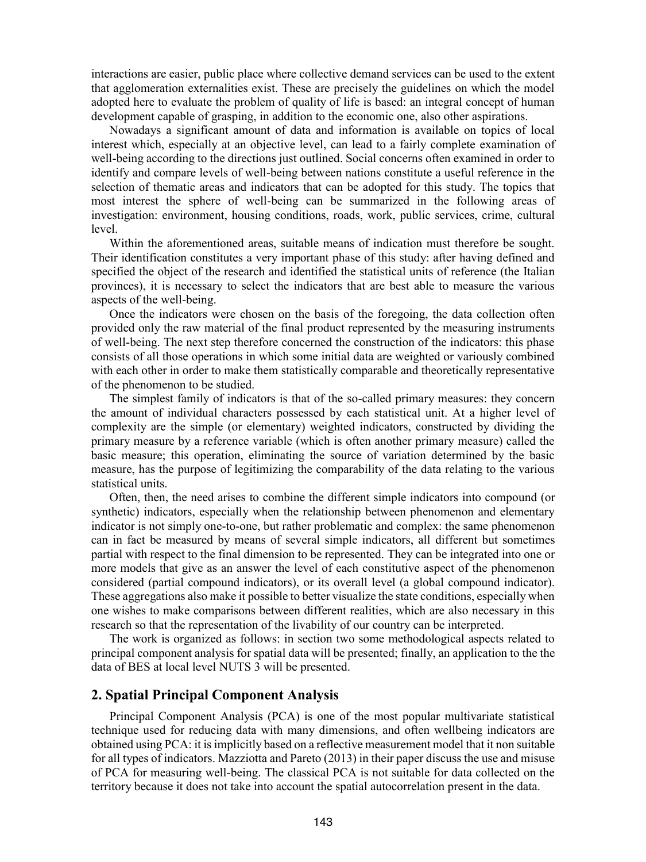interactions are easier, public place where collective demand services can be used to the extent that agglomeration externalities exist. These are precisely the guidelines on which the model adopted here to evaluate the problem of quality of life is based: an integral concept of human development capable of grasping, in addition to the economic one, also other aspirations.

Nowadays a significant amount of data and information is available on topics of local interest which, especially at an objective level, can lead to a fairly complete examination of well-being according to the directions just outlined. Social concerns often examined in order to identify and compare levels of well-being between nations constitute a useful reference in the selection of thematic areas and indicators that can be adopted for this study. The topics that most interest the sphere of well-being can be summarized in the following areas of investigation: environment, housing conditions, roads, work, public services, crime, cultural level.

Within the aforementioned areas, suitable means of indication must therefore be sought. Their identification constitutes a very important phase of this study: after having defined and specified the object of the research and identified the statistical units of reference (the Italian provinces), it is necessary to select the indicators that are best able to measure the various aspects of the well-being.

Once the indicators were chosen on the basis of the foregoing, the data collection often provided only the raw material of the final product represented by the measuring instruments of well-being. The next step therefore concerned the construction of the indicators: this phase consists of all those operations in which some initial data are weighted or variously combined with each other in order to make them statistically comparable and theoretically representative of the phenomenon to be studied.

The simplest family of indicators is that of the so-called primary measures: they concern the amount of individual characters possessed by each statistical unit. At a higher level of complexity are the simple (or elementary) weighted indicators, constructed by dividing the primary measure by a reference variable (which is often another primary measure) called the basic measure; this operation, eliminating the source of variation determined by the basic measure, has the purpose of legitimizing the comparability of the data relating to the various statistical units.

Often, then, the need arises to combine the different simple indicators into compound (or synthetic) indicators, especially when the relationship between phenomenon and elementary indicator is not simply one-to-one, but rather problematic and complex: the same phenomenon can in fact be measured by means of several simple indicators, all different but sometimes partial with respect to the final dimension to be represented. They can be integrated into one or more models that give as an answer the level of each constitutive aspect of the phenomenon considered (partial compound indicators), or its overall level (a global compound indicator). These aggregations also make it possible to better visualize the state conditions, especially when one wishes to make comparisons between different realities, which are also necessary in this research so that the representation of the livability of our country can be interpreted.

The work is organized as follows: in section two some methodological aspects related to principal component analysis for spatial data will be presented; finally, an application to the the data of BES at local level NUTS 3 will be presented.

## **2. Spatial Principal Component Analysis**

Principal Component Analysis (PCA) is one of the most popular multivariate statistical technique used for reducing data with many dimensions, and often wellbeing indicators are obtained using PCA: it is implicitly based on a reflective measurement model that it non suitable for all types of indicators. Mazziotta and Pareto (2013) in their paper discuss the use and misuse of PCA for measuring well-being. The classical PCA is not suitable for data collected on the territory because it does not take into account the spatial autocorrelation present in the data.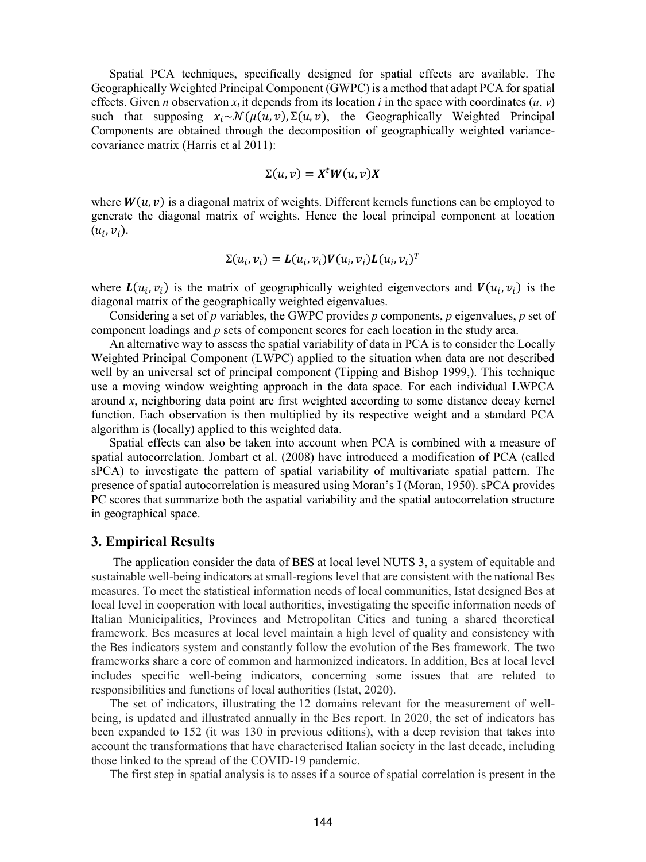Spatial PCA techniques, specifically designed for spatial effects are available. The Geographically Weighted Principal Component (GWPC) is a method that adapt PCA for spatial effects. Given *n* observation  $x_i$  it depends from its location *i* in the space with coordinates  $(u, v)$ such that supposing  $x_i \sim \mathcal{N}(\mu(u, v), \Sigma(u, v))$ , the Geographically Weighted Principal Components are obtained through the decomposition of geographically weighted variancecovariance matrix (Harris et al 2011):

$$
\Sigma(u,v)=X^tW(u,v)X
$$

where  $W(u, v)$  is a diagonal matrix of weights. Different kernels functions can be employed to generate the diagonal matrix of weights. Hence the local principal component at location  $(u_i, v_i)$ .

$$
\Sigma(u_i, v_i) = \mathbf{L}(u_i, v_i) \mathbf{V}(u_i, v_i) \mathbf{L}(u_i, v_i)^T
$$

where  $L(u_i, v_i)$  is the matrix of geographically weighted eigenvectors and  $V(u_i, v_i)$  is the diagonal matrix of the geographically weighted eigenvalues.

Considering a set of *p* variables, the GWPC provides *p* components, *p* eigenvalues, *p* set of component loadings and *p* sets of component scores for each location in the study area.

An alternative way to assess the spatial variability of data in PCA is to consider the Locally Weighted Principal Component (LWPC) applied to the situation when data are not described well by an universal set of principal component (Tipping and Bishop 1999,). This technique use a moving window weighting approach in the data space. For each individual LWPCA around *x*, neighboring data point are first weighted according to some distance decay kernel function. Each observation is then multiplied by its respective weight and a standard PCA algorithm is (locally) applied to this weighted data.

Spatial effects can also be taken into account when PCA is combined with a measure of spatial autocorrelation. Jombart et al. (2008) have introduced a modification of PCA (called sPCA) to investigate the pattern of spatial variability of multivariate spatial pattern. The presence of spatial autocorrelation is measured using Moran's I (Moran, 1950). sPCA provides PC scores that summarize both the aspatial variability and the spatial autocorrelation structure in geographical space.

### **3. Empirical Results**

The application consider the data of BES at local level NUTS 3, a system of equitable and sustainable well-being indicators at small-regions level that are consistent with the national Bes measures. To meet the statistical information needs of local communities, Istat designed Bes at local level in cooperation with local authorities, investigating the specific information needs of Italian Municipalities, Provinces and Metropolitan Cities and tuning a shared theoretical framework. Bes measures at local level maintain a high level of quality and consistency with the Bes indicators system and constantly follow the evolution of the Bes framework. The two frameworks share a core of common and harmonized indicators. In addition, Bes at local level includes specific well-being indicators, concerning some issues that are related to responsibilities and functions of local authorities (Istat, 2020).

The set of indicators, illustrating the 12 domains relevant for the measurement of wellbeing, is updated and illustrated annually in the Bes report. In 2020, the set of indicators has been expanded to 152 (it was 130 in previous editions), with a deep revision that takes into account the transformations that have characterised Italian society in the last decade, including those linked to the spread of the COVID-19 pandemic.

The first step in spatial analysis is to asses if a source of spatial correlation is present in the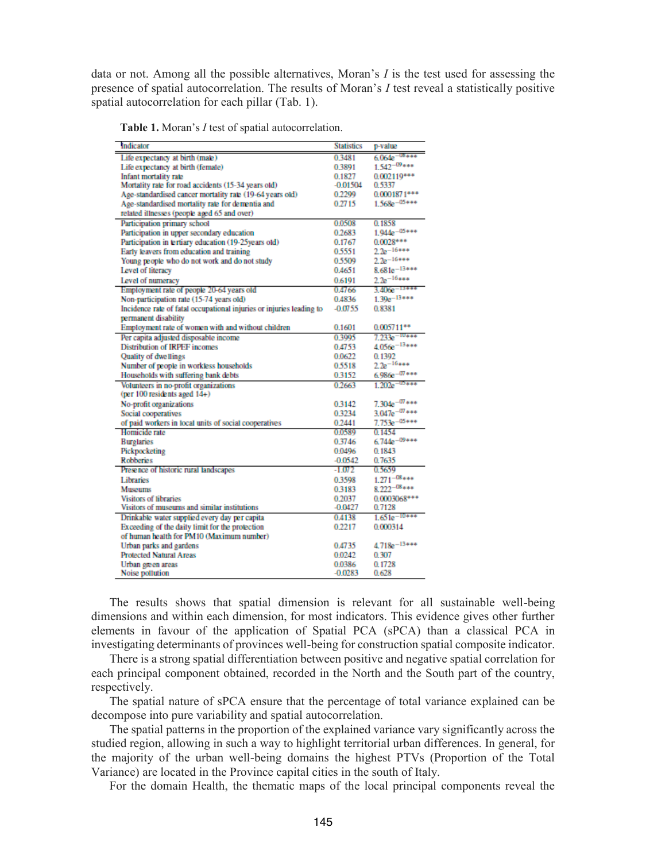data or not. Among all the possible alternatives, Moran's *I* is the test used for assessing the presence of spatial autocorrelation. The results of Moran's *I* test reveal a statistically positive spatial autocorrelation for each pillar (Tab. 1).

|  |  |  |  |  |  |  |  | <b>Table 1.</b> Moran's <i>I</i> test of spatial autocorrelation. |  |
|--|--|--|--|--|--|--|--|-------------------------------------------------------------------|--|
|--|--|--|--|--|--|--|--|-------------------------------------------------------------------|--|

| Indicator                                                            | <b>Statistics</b> | p-value               |
|----------------------------------------------------------------------|-------------------|-----------------------|
| Life expectancy at birth (male)                                      | 03481             | $6.064e^{-0.8 + 0.0}$ |
| Life expectancy at birth (female)                                    | 0.3891            | $1.542^{-09***}$      |
| Infant mortality rate                                                | 0.1827            | $0.002119***$         |
| Mortality rate for road accidents (15-34 years old)                  | $-0.01504$        | 0.5337                |
| Age-standardised cancer mortality rate (19-64 years old)             | 0.2299            | $0.0001871***$        |
| Age-standardised mortality rate for dementia and                     | 0.2715            | $1.568e^{-0.5***}$    |
| related illnesses (people aged 65 and over)                          |                   |                       |
| Participation primary school                                         | 0.0508            | 0.1858                |
| Participation in upper secondary education                           | 0.2683            | $1.944e^{-0.5***}$    |
| Participation in tertiary education (19-25years old)                 | 0.1767            | $0.0028***$           |
| Early leavers from education and training                            | 0.5551            | $2.2e^{-16***}$       |
| Young people who do not work and do not study                        | 0.5509            | $2.2e^{-16***}$       |
| Level of literacy                                                    | 0.4651            | $8.681e^{-13***}$     |
| Level of numeracy                                                    | 0.6191            | $2.2e^{-16***}$       |
| Employment rate of people 20-64 years old                            | 04766             | $3.406e-13***$        |
| Non-participation rate (15-74 years old)                             | 0.4836            | $1.39e^{-13***}$      |
| Incidence rate of fatal occupational injuries or injuries leading to | $-0.0755$         | 0.8381                |
| permanent disability                                                 |                   |                       |
| Employment rate of women with and without children                   | 0.1601            | $0.005711***$         |
| Per capita adjusted disposable income                                | 0.3995            | $7.233e^{-10***}$     |
| <b>Distribution of IRPEF incomes</b>                                 | 0.4753            | $4.056e^{-13***}$     |
| <b>Quality of dwellings</b>                                          | 0.0622            | 0.1392                |
| Number of people in workless households                              | 0.5518            | $2.2e^{-16***}$       |
| Households with suffering bank debts                                 | 03152             | $6.986e^{-07***}$     |
| Volunteers in no-profit organizations                                | 0.2663            | $1.202e^{-1.0000}$    |
| (per 100 residents aged 14+)                                         |                   |                       |
| No-profit organizations                                              | 0.3142            | $7.304e^{-07***}$     |
| Social cooperatives                                                  | 0.3234            | $3.047e^{-07***}$     |
| of paid workers in local units of social cooperatives                | 0.2441            | $7.753e^{-05***}$     |
| Homicide rate                                                        | 0.0589            | 0.1454                |
| <b>Burglaries</b>                                                    | 0.3746            | $6.744e^{-09***}$     |
| Pickpocketing                                                        | 0.0496            | 0.1843                |
| <b>Robberies</b>                                                     | $-0.0542$         | 0.7635                |
| Presence of historic rural landscapes                                | $-1.072$          | 0.5659                |
| Libraries                                                            | 0.3598            | $1.271^{-08***}$      |
| <b>Museums</b>                                                       | 0.3183            | $8.222^{-08***}$      |
| <b>Visitors of libraries</b>                                         | 0.2037            | 0.0003068***          |
| Visitors of museums and similar institutions                         | $-0.0427$         | 0.7128                |
| Drinkable water supplied every day per capita                        | 0.4138            | $1.651e^{-10***}$     |
| Exceeding of the daily limit for the protection                      | 0.2217            | 0.000314              |
| of human health for PM10 (Maximum number)                            |                   |                       |
| Urban parks and gardens                                              | 0.4735            | $4.718e^{-13***}$     |
| <b>Protected Natural Areas</b>                                       | 0.0242            | 0.307                 |
| Urban green areas                                                    | 0.0386            | 0.1728                |
| Noise pollution                                                      | $-0.0283$         | 0.628                 |

The results shows that spatial dimension is relevant for all sustainable well-being dimensions and within each dimension, for most indicators. This evidence gives other further elements in favour of the application of Spatial PCA (sPCA) than a classical PCA in investigating determinants of provinces well-being for construction spatial composite indicator.

There is a strong spatial differentiation between positive and negative spatial correlation for each principal component obtained, recorded in the North and the South part of the country, respectively.

The spatial nature of sPCA ensure that the percentage of total variance explained can be decompose into pure variability and spatial autocorrelation.

The spatial patterns in the proportion of the explained variance vary significantly across the studied region, allowing in such a way to highlight territorial urban differences. In general, for the majority of the urban well-being domains the highest PTVs (Proportion of the Total Variance) are located in the Province capital cities in the south of Italy.

For the domain Health, the thematic maps of the local principal components reveal the